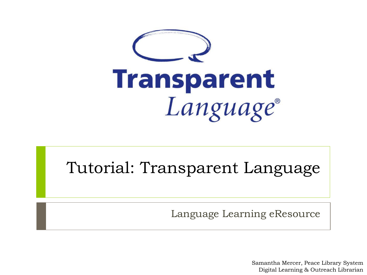

## Tutorial: Transparent Language

Language Learning eResource

Samantha Mercer, Peace Library System Digital Learning & Outreach Librarian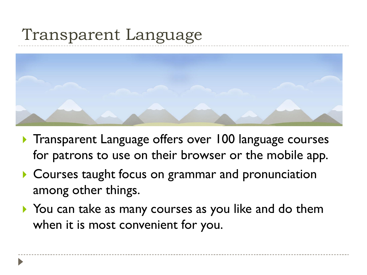# Transparent Language



- **Transparent Language offers over 100 language courses** for patrons to use on their browser or the mobile app.
- Courses taught focus on grammar and pronunciation among other things.
- ▶ You can take as many courses as you like and do them when it is most convenient for you.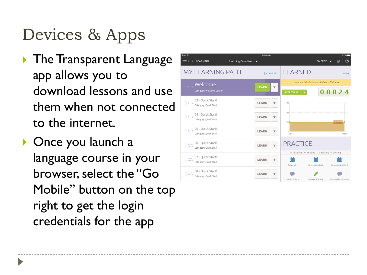# Devices & Apps

- **The Transparent Language** app allows you to download lessons and use them when not connected to the internet.
- ▶ Once you launch a language course in your browser, select the "Go Mobile" button on the top right to get the login credentials for the app

| iPad 全                                                           | 91%                  |                   |                         |                                         |                                                                  |                        |  |
|------------------------------------------------------------------|----------------------|-------------------|-------------------------|-----------------------------------------|------------------------------------------------------------------|------------------------|--|
| $\equiv$ $\supset$<br>LEARNING                                   | Learning Canadian  ~ |                   |                         |                                         | SMERCE -                                                         | (2)<br>≝               |  |
| MY LEARNING PATH                                                 |                      | <b>前CLEAR ALL</b> |                         | <b>LEARNED</b>                          |                                                                  | <b>VIEW</b>            |  |
| $\mathbb{H} \subset \mathsf{Welcome}$                            |                      |                   |                         | You have 24 stale vocab items. Refresh! |                                                                  |                        |  |
| Category: Welcome Lesson                                         |                      | <b>LEARN</b>      | $\overline{\mathbf{v}}$ | <b>REFRESH ALL</b>                      |                                                                  | 00024                  |  |
| 03 - Quick Start!<br>$\text{C}$<br>Category: Quick Start         |                      | LEARN             |                         |                                         |                                                                  |                        |  |
| $\lim_{n \to \infty} 04 -$ Quick Start!<br>Category: Ouick Start |                      | LEARN             | v                       | 49<br>25 <sub>o</sub>                   |                                                                  | 24 stale               |  |
| 05 - Quick Start!<br>$\mathbb{R}$ Category: Quick Start          |                      | LEARN             | ₩                       | $\alpha$<br>Start                       |                                                                  | Today                  |  |
| 06 - Quick Start!<br>$\ddot{a} \odot$<br>Category: Quick Start   |                      | <b>LEARN</b>      | v                       | <b>PRACTICE</b>                         |                                                                  |                        |  |
| 07 - Quick Start!<br>$\ddot{=}$<br>Category: Quick Start         |                      | LEARN             | w                       | Preview It                              | o Listening o Reading o Speaking o Writing<br>Recognize & Say It | Recognize & Write It   |  |
| 08 - Quick Start!<br>ä<br>Category: Quick Start                  |                      | LEARN             | v                       | Produce & Say It                        | Produce & Write It                                               | Pronunciation Practice |  |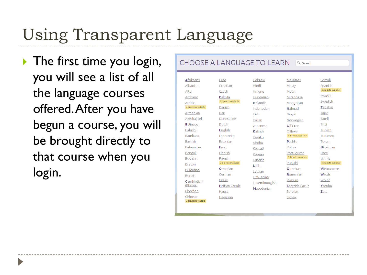# Using Transparent Language

 $\blacktriangleright$  The first time you login, you will see a list of all the language courses offered. After you have begun a course, you will be brought directly to that course when you login.

#### CHOOSE A LANGUAGE TO LEARN A Search

| Afrikaans            | Cree                  | Hebrew           | Malagasy               | Somali               |
|----------------------|-----------------------|------------------|------------------------|----------------------|
| Albanian             | Croatian              | <b>Hindi</b>     | Malay                  | Spanish              |
| Altai                | Czech                 | Hmong            | Maori                  | 2 dialects available |
| Amharic              | <b>Dakota</b>         | Hungarian        | Mirandese              | Swahili              |
| Arabic               | 2 dialects available  | Icelandic        | Mongolian              | Swedish              |
| 4 dialects available | Danish                | Indonesian       | <b>Nahuatl</b>         | Tagalog              |
| Armenian             | Dari                  | Irish            | Nogai                  | Tajiki               |
| Azerbaijani          | Denesuline            | Italian          | Norwegian              | Tamil                |
| <b>Balinese</b>      | Dutch                 | <b>J</b> apanese | Oii-Cree               | Thai                 |
| Baluchi              | English               | Kalmyk           | Ojibwe                 | Turkish              |
| <b>Bambara</b>       | Esperanto             | Kazakh           | 3 dialects available   | Turkmen              |
| <b>Bashkir</b>       | Estonian              | Kituba           | Pashto                 | Tuvan                |
| Belarusian           | Farsi                 | Koasati          | Polish                 | <b>Ukrainian</b>     |
| Bengali              | Finnish               | Korean           | Portuguese             | Urdu                 |
| <b>Bosnian</b>       | French                | Kurdish          | 2 dialects available   | Uzbek                |
| <b>Breton</b>        | 2 dialects available  | Latin            | Punjabi                | 2 dialects available |
| Bulgarian            | Georgian              | Latvian          | Quechua                | <b>Vietnamese</b>    |
| <b>Buriat</b>        | German                | Lithuanian       | Romanian               | Welsh                |
| Cambodian            | Greek                 | Luxembourgish    | Russian                | Wolof                |
| (Khmer)              | <b>Haitian Creole</b> | Macedonian       | <b>Scottish Gaelic</b> | Yoruba               |
| Chechen              | Hausa                 |                  | Serbian                | Zulu                 |
| Chinese              | Hawaiian              |                  | Slovak                 |                      |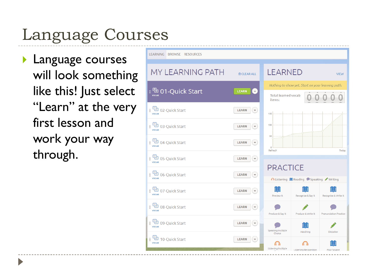# Language Courses

**Language courses** will look something like this! Just select "Learn" at the very first lesson and work your way through.

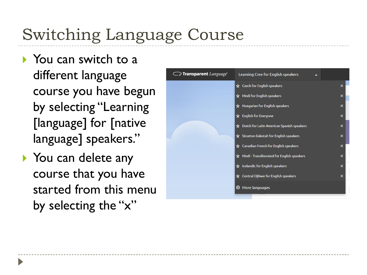# Switching Language Course

- ▶ You can switch to a different language course you have begun by selecting "Learning [language] for [native language] speakers."
- ▶ You can delete any course that you have started from this menu by selecting the "x"